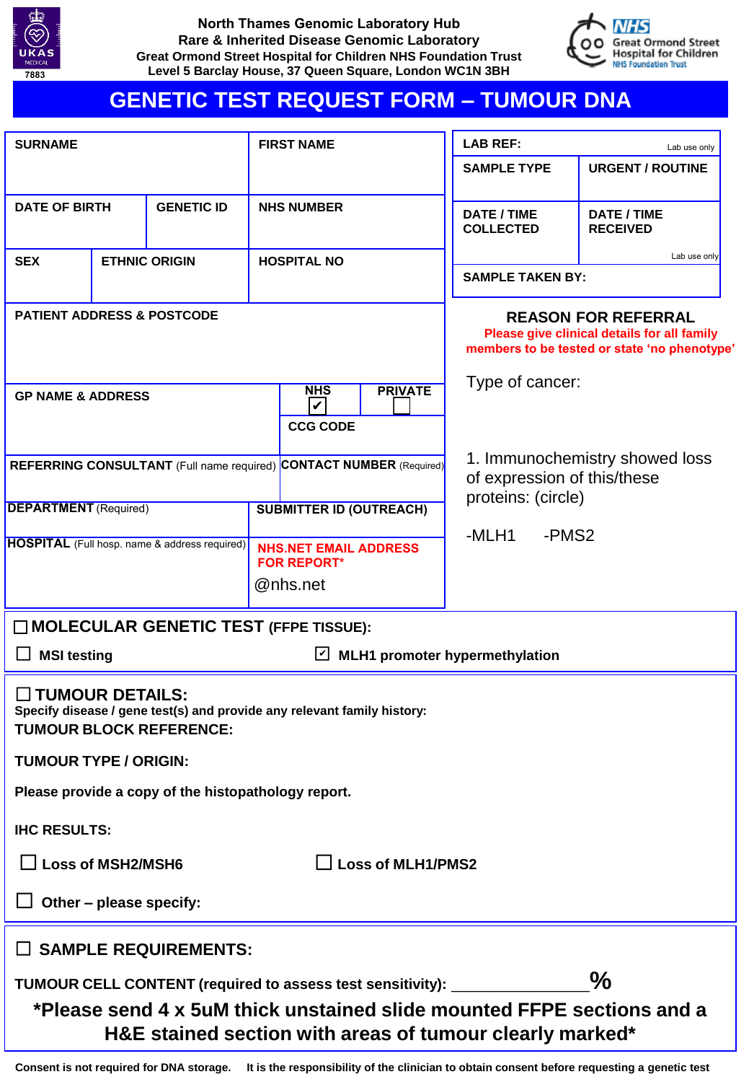

**North Thames Genomic Laboratory Hub Rare & Inherited Disease Genomic Laboratory Great Ormond Street Hospital for Children NHS Foundation Trust Level 5 Barclay House, 37 Queen Square, London WC1N 3BH**



# **GENETIC TEST REQUEST FORM – TUMOUR DNA**

| <b>SURNAME</b>                                           |                             | <b>FIRST NAME</b>                                                                                                                  | <b>LAB REF:</b><br>Lab use only                                                     |                                       |
|----------------------------------------------------------|-----------------------------|------------------------------------------------------------------------------------------------------------------------------------|-------------------------------------------------------------------------------------|---------------------------------------|
|                                                          |                             |                                                                                                                                    | <b>SAMPLE TYPE</b>                                                                  | <b>URGENT / ROUTINE</b>               |
| <b>DATE OF BIRTH</b>                                     | <b>GENETIC ID</b>           | <b>NHS NUMBER</b>                                                                                                                  | DATE / TIME<br><b>COLLECTED</b>                                                     | <b>DATE / TIME</b><br><b>RECEIVED</b> |
| <b>SEX</b>                                               | <b>ETHNIC ORIGIN</b>        | <b>HOSPITAL NO</b>                                                                                                                 |                                                                                     | Lab use only                          |
|                                                          |                             |                                                                                                                                    | <b>SAMPLE TAKEN BY:</b>                                                             |                                       |
| <b>PATIENT ADDRESS &amp; POSTCODE</b>                    |                             | <b>REASON FOR REFERRAL</b><br>Please give clinical details for all family<br>members to be tested or state 'no phenotype'          |                                                                                     |                                       |
| <b>GP NAME &amp; ADDRESS</b>                             |                             | <b>PRIVATE</b><br><b>NHS</b><br>V<br><b>CCG CODE</b>                                                                               | Type of cancer:                                                                     |                                       |
| <b>DEPARTMENT</b> (Required)                             |                             | REFERRING CONSULTANT (Full name required) CONTACT NUMBER (Required)<br><b>SUBMITTER ID (OUTREACH)</b>                              | 1. Immunochemistry showed loss<br>of expression of this/these<br>proteins: (circle) |                                       |
| <b>HOSPITAL</b> (Full hosp. name & address required)     |                             |                                                                                                                                    | -PMS <sub>2</sub><br>-MLH1                                                          |                                       |
|                                                          |                             | <b>NHS.NET EMAIL ADDRESS</b><br><b>FOR REPORT*</b>                                                                                 |                                                                                     |                                       |
|                                                          |                             | @nhs.net                                                                                                                           |                                                                                     |                                       |
|                                                          |                             | MOLECULAR GENETIC TEST (FFPE TISSUE):                                                                                              |                                                                                     |                                       |
| <b>MSI testing</b><br>MLH1 promoter hypermethylation     |                             |                                                                                                                                    |                                                                                     |                                       |
| $\Box$ TUMOUR DETAILS:<br><b>TUMOUR BLOCK REFERENCE:</b> |                             | Specify disease / gene test(s) and provide any relevant family history:                                                            |                                                                                     |                                       |
| <b>TUMOUR TYPE / ORIGIN:</b>                             |                             |                                                                                                                                    |                                                                                     |                                       |
| Please provide a copy of the histopathology report.      |                             |                                                                                                                                    |                                                                                     |                                       |
| <b>IHC RESULTS:</b>                                      |                             |                                                                                                                                    |                                                                                     |                                       |
|                                                          |                             | $\Box$ Loss of MLH1/PMS2                                                                                                           |                                                                                     |                                       |
| Other - please specify:                                  |                             |                                                                                                                                    |                                                                                     |                                       |
|                                                          | <b>SAMPLE REQUIREMENTS:</b> |                                                                                                                                    |                                                                                     |                                       |
|                                                          |                             | TUMOUR CELL CONTENT (required to assess test sensitivity):                                                                         |                                                                                     | $\frac{0}{0}$                         |
|                                                          |                             | *Please send 4 x 5uM thick unstained slide mounted FFPE sections and a<br>H&E stained section with areas of tumour clearly marked* |                                                                                     |                                       |